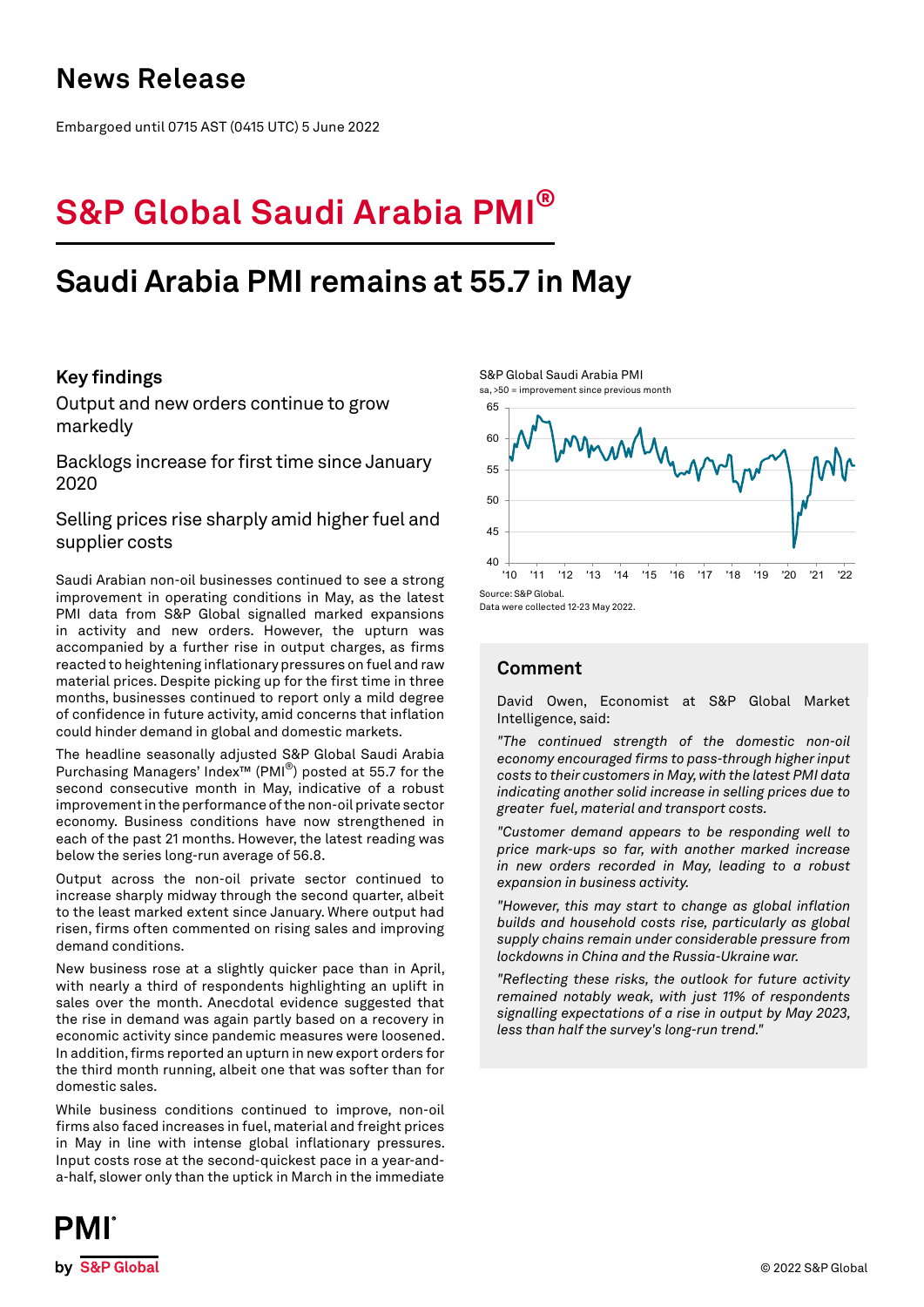## **News Release**

Embargoed until 0715 AST (0415 UTC) 5 June 2022

# **S&P Global Saudi Arabia PMI®**

## **Saudi Arabia PMI remains at 55.7 in May**

## **Key findings**

Output and new orders continue to grow markedly

Backlogs increase for first time since January 2020

Selling prices rise sharply amid higher fuel and supplier costs

Saudi Arabian non-oil businesses continued to see a strong improvement in operating conditions in May, as the latest PMI data from S&P Global signalled marked expansions in activity and new orders. However, the upturn was accompanied by a further rise in output charges, as firms reacted to heightening inflationary pressures on fuel and raw material prices. Despite picking up for the first time in three months, businesses continued to report only a mild degree of confidence in future activity, amid concerns that inflation could hinder demand in global and domestic markets.

The headline seasonally adjusted S&P Global Saudi Arabia Purchasing Managers' Index™ (PMI®) posted at 55.7 for the second consecutive month in May, indicative of a robust improvement in the performance of the non-oil private sector economy. Business conditions have now strengthened in each of the past 21 months. However, the latest reading was below the series long-run average of 56.8.

Output across the non-oil private sector continued to increase sharply midway through the second quarter, albeit to the least marked extent since January. Where output had risen, firms often commented on rising sales and improving demand conditions.

New business rose at a slightly quicker pace than in April, with nearly a third of respondents highlighting an uplift in sales over the month. Anecdotal evidence suggested that the rise in demand was again partly based on a recovery in economic activity since pandemic measures were loosened. In addition, firms reported an upturn in new export orders for the third month running, albeit one that was softer than for domestic sales.

While business conditions continued to improve, non-oil firms also faced increases in fuel, material and freight prices in May in line with intense global inflationary pressures. Input costs rose at the second-quickest pace in a year-anda-half, slower only than the uptick in March in the immediate





## **Comment**

David Owen, Economist at S&P Global Market Intelligence, said:

*"The continued strength of the domestic non-oil economy encouraged firms to pass-through higher input costs to their customers in May, with the latest PMI data indicating another solid increase in selling prices due to greater fuel, material and transport costs.* 

*"Customer demand appears to be responding well to price mark-ups so far, with another marked increase in new orders recorded in May, leading to a robust expansion in business activity.*

*"However, this may start to change as global inflation builds and household costs rise, particularly as global supply chains remain under considerable pressure from lockdowns in China and the Russia-Ukraine war.*

*"Reflecting these risks, the outlook for future activity remained notably weak, with just 11% of respondents signalling expectations of a rise in output by May 2023, less than half the survey's long-run trend."*